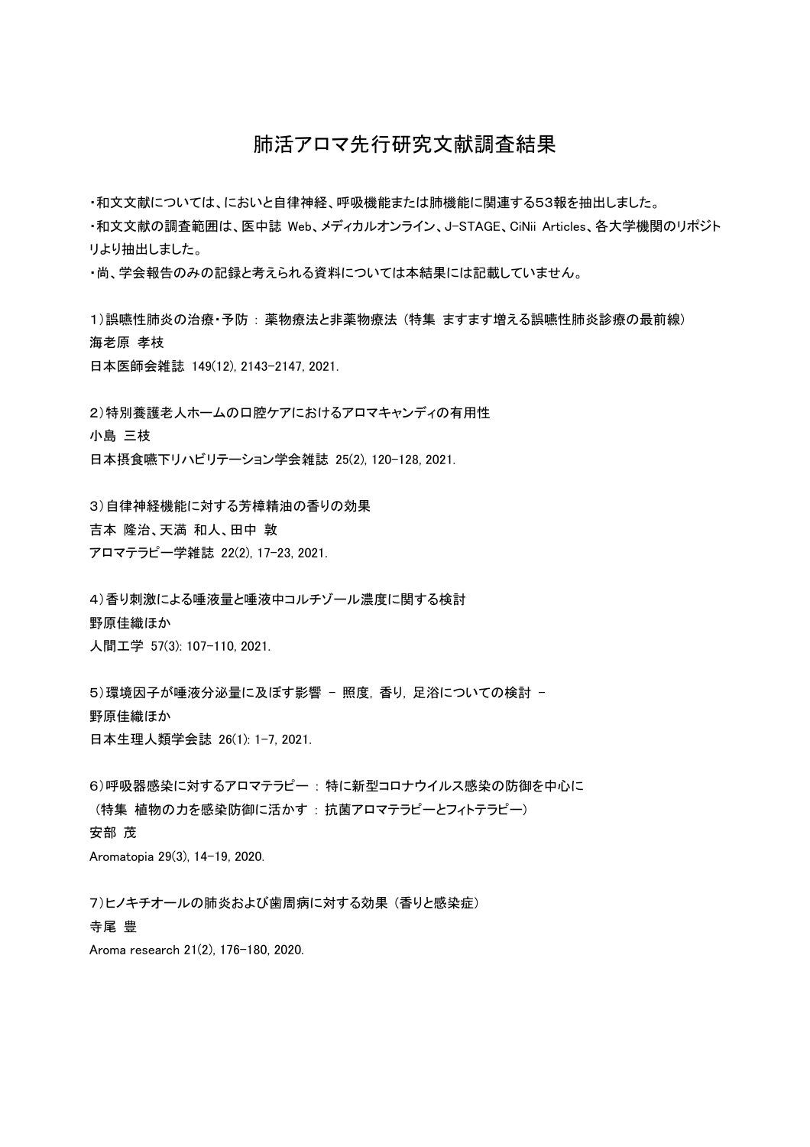## 肺活アロマ先行研究文献調査結果

・和文文献については、においと自律神経、呼吸機能または肺機能に関連する53報を抽出しました。

・和文文献の調査範囲は、医中誌 Web、メディカルオンライン、J-STAGE、CiNii Articles、各大学機関のリポジト リより抽出しました。

・尚、学会報告のみの記録と考えられる資料については本結果には記載していません。

1)誤嚥性肺炎の治療·予防:薬物療法と非薬物療法(特集 ますます増える誤嚥性肺炎診療の最前線) 海老原 孝枝

日本医師会雑誌 149(12), 2143-2147, 2021.

2)特別養護老人ホームの口腔ケアにおけるアロマキャンディの有用性 小島 三枝 日本摂食嚥下リハビリテーション学会雑誌 25(2), 120-128, 2021.

3)自律神経機能に対する芳樟精油の香りの効果

吉本 隆治、天満 和人、田中 敦

アロマテラピー学雑誌 22(2), 17-23, 2021.

4)香り刺激による唾液量と唾液中コルチゾール濃度に関する検討 野原佳織ほか 人間工学 57(3): 107-110, 2021.

5)環境因子が唾液分泌量に及ぼす影響 - 照度, 香り, 足浴についての検討 -野原佳織ほか 日本生理人類学会誌 26(1): 1-7, 2021.

6) 呼吸器感染に対するアロマテラピー: 特に新型コロナウイルス感染の防御を中心に (特集 植物の力を感染防御に活かす: 抗菌アロマテラピーとフィトテラピー) 安部 茂 Aromatopia 29(3), 14-19, 2020.

7)ヒノキチオールの肺炎および歯周病に対する効果(香りと感染症) 寺尾 豊

Aroma research 21(2), 176-180, 2020.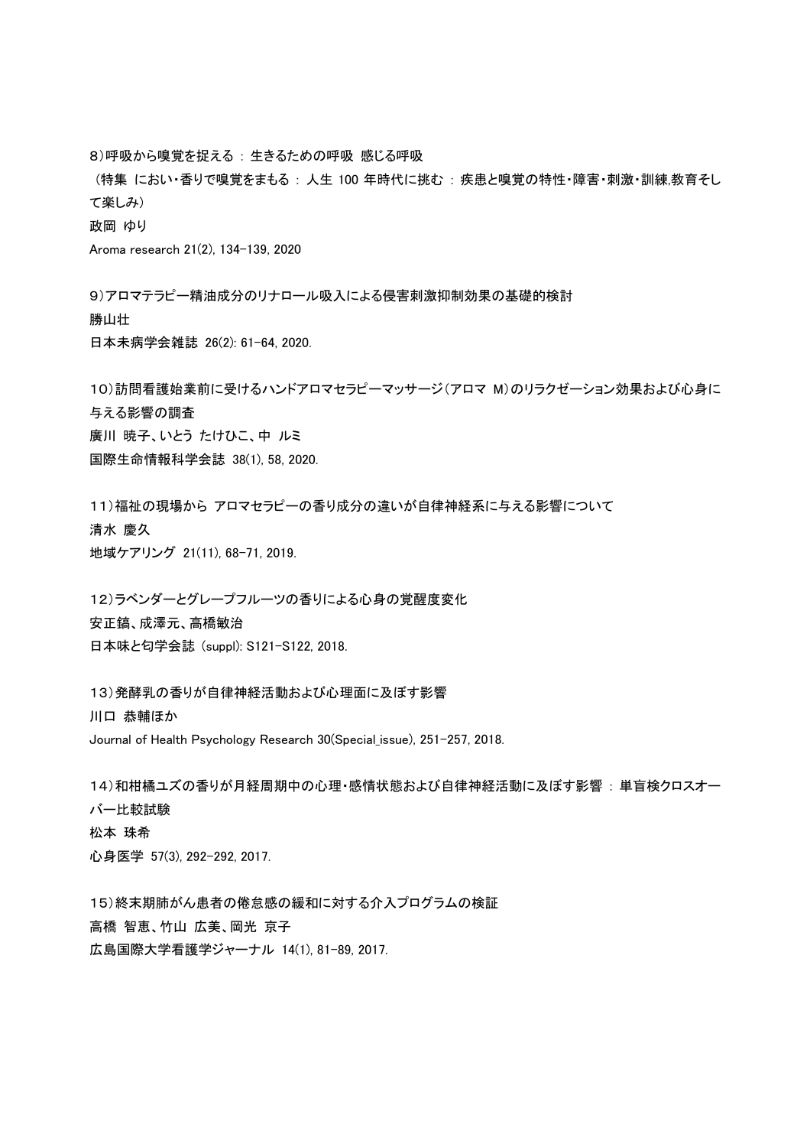8) 呼吸から嗅覚を捉える: 生きるための呼吸感じる呼吸

(特集 におい・香りで嗅覚をまもる : 人生 100 年時代に挑む : 疾患と嗅覚の特性・障害・刺激・訓練,教育そし て楽しみ)

政岡 ゆり

Aroma research 21(2), 134-139, 2020

9)アロマテラピー精油成分のリナロール吸入による侵害刺激抑制効果の基礎的検討 勝山壮 日本未病学会雑誌 26(2): 61-64, 2020.

10)訪問看護始業前に受けるハンドアロマセラピーマッサージ(アロマ M)のリラクゼーション効果および心身に 与える影響の調査 廣川 暁子、いとう たけひこ、中 ルミ 国際生命情報科学会誌 38(1), 58, 2020.

11)福祉の現場から アロマセラピーの香り成分の違いが自律神経系に与える影響について 清水 慶久 地域ケアリング 21(11), 68-71, 2019.

12)ラベンダーとグレープフルーツの香りによる心身の覚醒度変化 安正縞、成澤元、高橋敏治 日本味と匂学会誌 (suppl): S121-S122, 2018.

13) 発酵乳の香りが自律神経活動および心理面に及ぼす影響 川口 恭輔ほか Journal of Health Psychology Research 30(Special\_issue), 251-257, 2018.

14)和柑橘ユズの香りが月経周期中の心理·感情状態および自律神経活動に及ぼす影響 : 単盲検クロスオー バー比較試験 松本 珠希 心身医学 57(3), 292-292, 2017.

15)終末期肺がん患者の倦怠感の緩和に対する介入プログラムの検証 高橋 智恵、竹山 広美、岡光 京子 広島国際大学看護学ジャーナル 14(1), 81-89, 2017.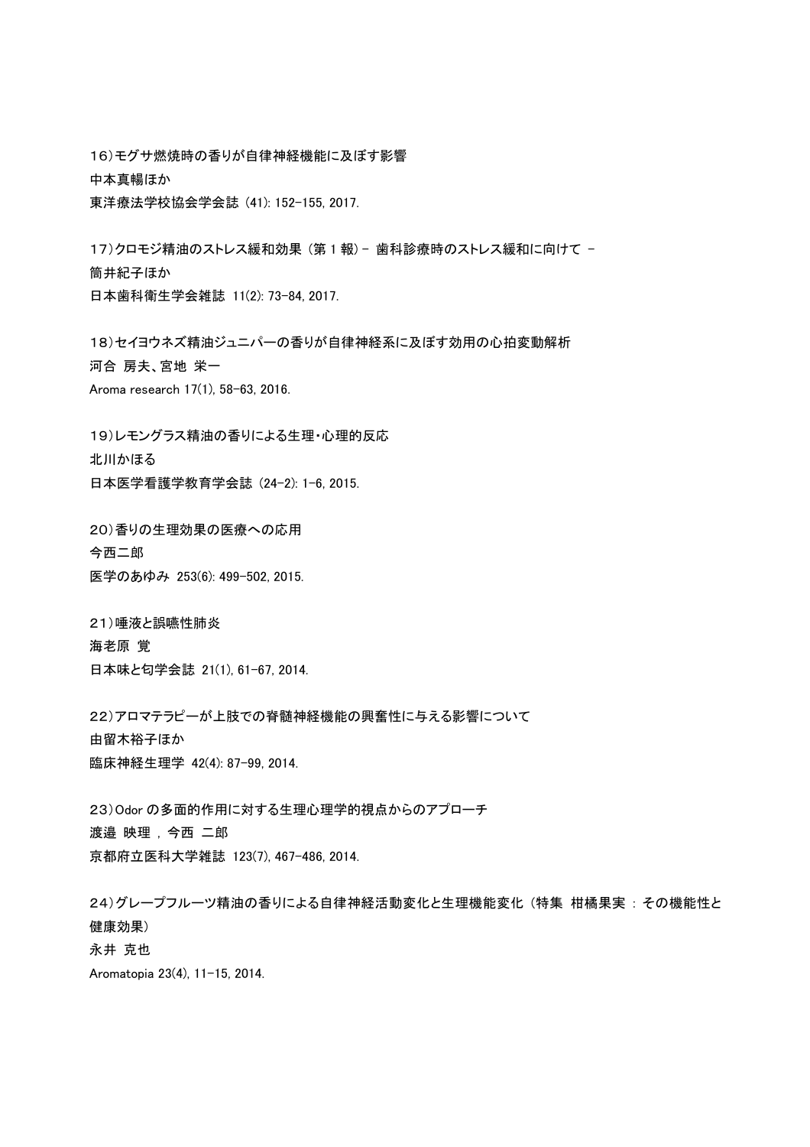16) モグサ燃焼時の香りが自律神経機能に及ぼす影響 中本真暢ほか 東洋療法学校協会学会誌 (41): 152-155, 2017.

17)クロモジ精油のストレス緩和効果 (第1報) - 歯科診療時のストレス緩和に向けて -筒井紀子ほか 日本歯科衛生学会雑誌 11(2): 73-84, 2017.

18)セイヨウネズ精油ジュニパーの香りが自律神経系に及ぼす効用の心拍変動解析 河合 房夫、宮地 栄一 Aroma research 17(1), 58-63, 2016.

19)レモングラス精油の香りによる生理・心理的反応 北川かほる 日本医学看護学教育学会誌 (24-2): 1-6, 2015.

20) 香りの生理効果の医療への応用 今西二郎 医学のあゆみ 253(6): 499-502, 2015.

21) 唾液と誤嚥性肺炎 海老原 覚 日本味と匂学会誌 21(1), 61-67, 2014.

22)アロマテラピーが上肢での脊髄神経機能の興奮性に与える影響について 由留木裕子ほか ⮫ᗋ⚄⤒⏕⌮Ꮫ 42(4): 87-99, 2014.

23) Odor の多面的作用に対する生理心理学的視点からのアプローチ 渡邉 映理, 今西 二郎 京都府立医科大学雑誌 123(7), 467-486, 2014.

24)グレープフルーツ精油の香りによる自律神経活動変化と生理機能変化(特集 柑橘果実:その機能性と 健康効果) 永井 克也 Aromatopia 23(4), 11-15, 2014.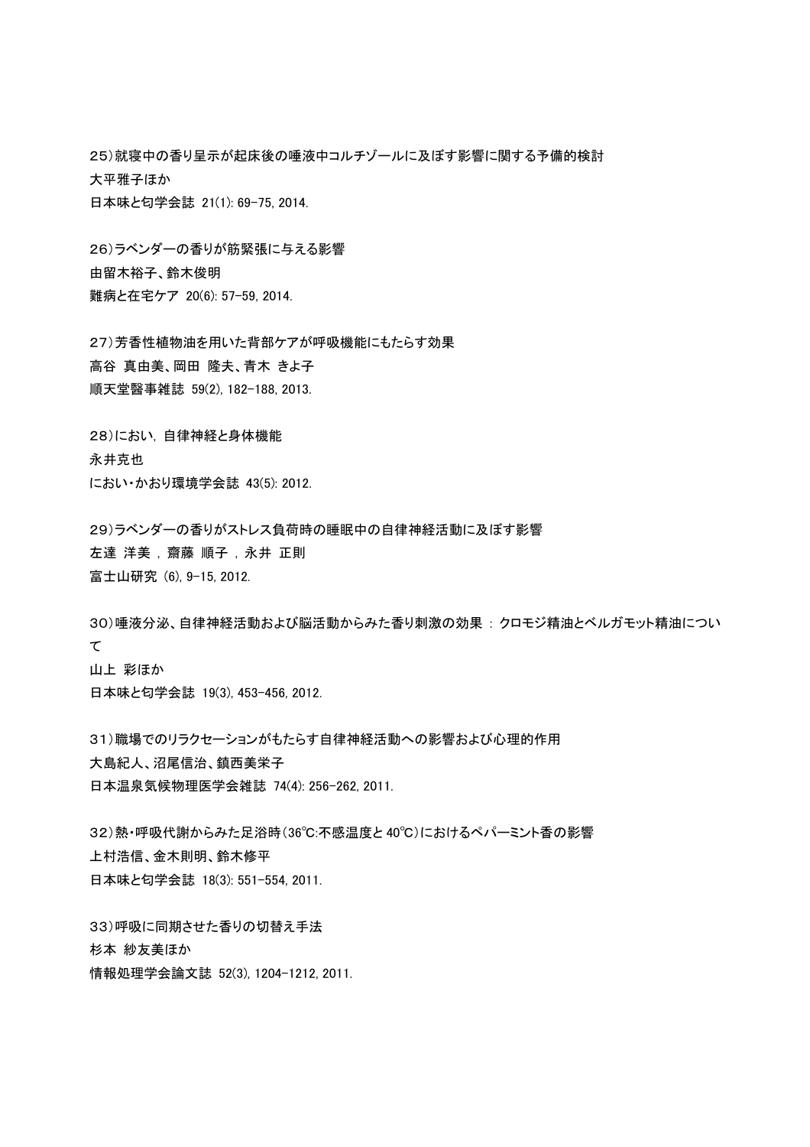25)就寝中の香り呈示が起床後の唾液中コルチゾールに及ぼす影響に関する予備的検討 大平雅子ほか 日本味と匂学会誌 21(1): 69-75, 2014.

26)ラベンダーの香りが筋緊張に与える影響 由留木裕子、鈴木俊明 難病と在宅ケア 20(6): 57-59, 2014.

27) 芳香性植物油を用いた背部ケアが呼吸機能にもたらす効果 高谷 真由美、岡田 降夫、青木 きよ子 順天堂醫事雑誌 59(2), 182-188, 2013.

28)におい、自律神経と身体機能 永井克也 䛻䛚䛔䞉䛛䛚䜚⎔ቃᏛㄅ 43(5): 2012.

29)ラベンダーの香りがストレス負荷時の睡眠中の自律神経活動に及ぼす影響 左達 洋美, 齋藤 順子, 永井 正則 富士山研究 (6), 9-15, 2012.

30)唾液分泌、自律神経活動および脳活動からみた香り刺激の効果 : クロモジ精油とベルガモット精油につい て 山上 彩ほか 日本味と匂学会誌 19(3), 453-456, 2012.

31)職場でのリラクセーションがもたらす自律神経活動への影響および心理的作用 大島紀人、沼尾信治、鎮西美栄子 日本温泉気候物理医学会雑誌 74(4): 256-262, 2011.

32)熱・呼吸代謝からみた足浴時(36℃:不感温度と40℃)におけるペパーミント香の影響 上村浩信、金木則明、鈴木修平 日本味と匂学会誌 18(3): 551-554, 2011.

33) 呼吸に同期させた香りの切替え手法 杉本 紗友美ほか 情報処理学会論文誌 52(3), 1204-1212, 2011.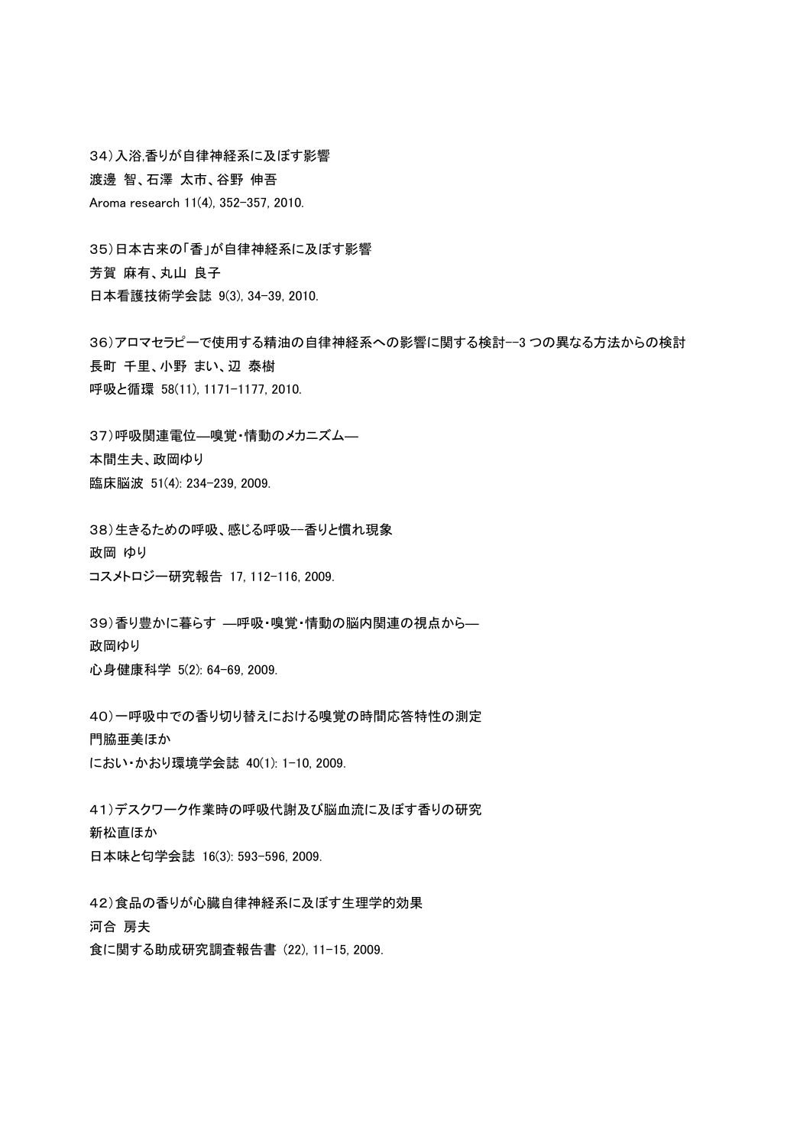34) 入浴,香りが自律神経系に及ぼす影響 渡邊 智、石澤 太市、谷野 伸吾 Aroma research 11(4), 352-357, 2010.

35)日本古来の「香」が自律神経系に及ぼす影響 芳賀 麻有、丸山 良子 日本看護技術学会誌 9(3), 34-39, 2010.

36)アロマセラピーで使用する精油の自律神経系への影響に関する検討--3 つの異なる方法からの検討 長町 千里、小野 まい、辺 泰樹 呼吸と循環 58(11), 1171-1177, 2010.

37) 呼吸関連電位––嗅覚・情動のメカニズム– 本間生夫、政岡ゆり ⮫ᗋ⬻Ἴ 51(4): 234-239, 2009.

38)生きるための呼吸、感じる呼吸一香りと慣れ現象 政岡 ゆり コスメトロジー研究報告 17, 112-116, 2009.

39)香り豊かに暮らす ––呼吸・嗅覚・情動の脳内関連の視点から–– 政岡ゆり 心身健康科学 5(2): 64-69, 2009.

40)一呼吸中での香り切り替えにおける嗅覚の時間応答特性の測定 門脇亜美ほか におい・かおり環境学会誌 40(1): 1-10, 2009.

41)デスクワーク作業時の呼吸代謝及び脳血流に及ぼす香りの研究 新松直ほか 日本味と匂学会誌 16(3): 593-596, 2009.

42) 食品の香りが心臓自律神経系に及ぼす生理学的効果 河合 房夫 食に関する助成研究調査報告書 (22), 11-15, 2009.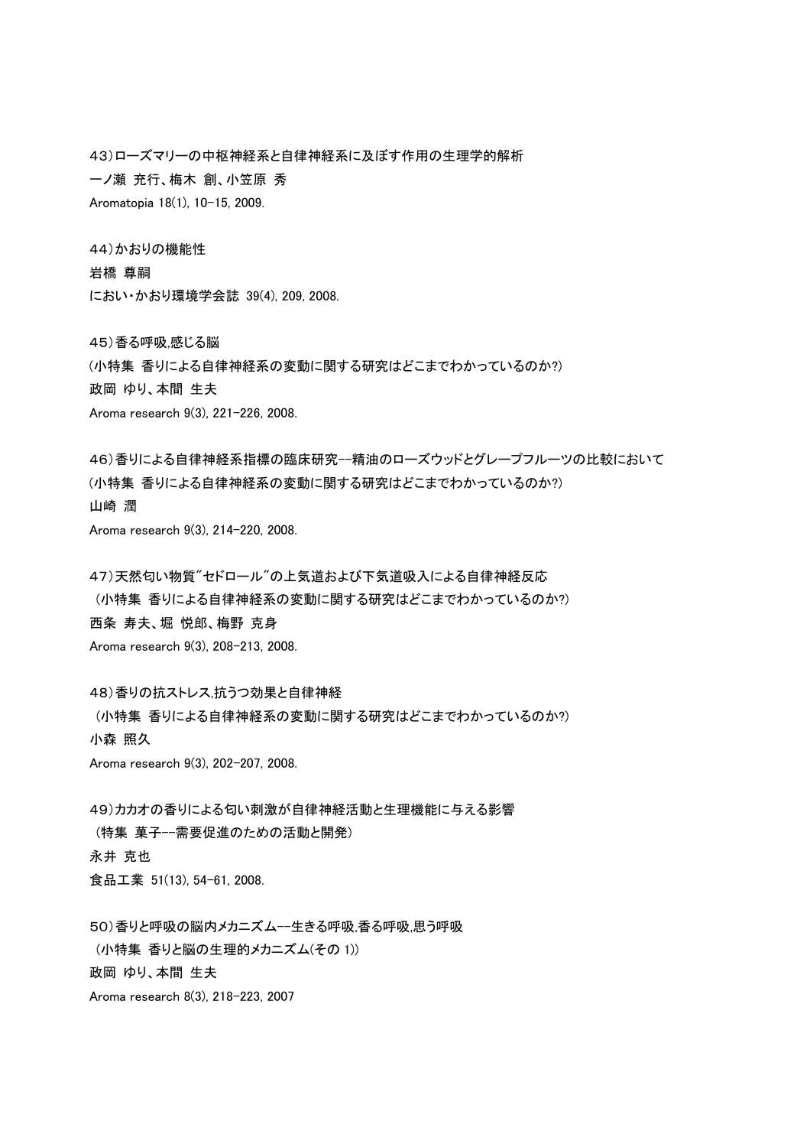43)ローズマリーの中枢神経系と自律神経系に及ぼす作用の生理学的解析 一ノ瀬 充行、梅木 創、小笠原 秀 Aromatopia 18(1), 10-15, 2009.

44)かおりの機能性

岩橋 尊嗣

䛻䛚䛔䞉䛛䛚䜚⎔ቃᏛㄅ 39(4), 209, 2008.

45) 香る呼吸,感じる脳

(小特集 香りによる自律神経系の変動に関する研究はどこまでわかっているのか?)

政岡 ゆり、本間 生夫

Aroma research 9(3), 221-226, 2008.

46) 香りによる自律神経系指標の臨床研究--精油のローズウッドとグレープフルーツの比較において

(小特集 香りによる自律神経系の変動に関する研究はどこまでわかっているのか?)

山崎 潤

Aroma research 9(3), 214-220, 2008.

47)天然匂い物質"セドロール"の上気道および下気道吸入による自律神経反応 (小特集 香りによる自律神経系の変動に関する研究はどこまでわかっているのか?) 西条 寿夫、堀 悦郎、梅野 克身 Aroma research 9(3), 208-213, 2008.

48) 香りの抗ストレス.抗うつ効果と自律神経

(小特集 香りによる自律神経系の変動に関する研究はどこまでわかっているのか?)

小森 照久

Aroma research 9(3), 202-207, 2008.

49)カカオの香りによる匂い刺激が自律神経活動と生理機能に与える影響 (特集 菓子--需要促進のための活動と開発) 永井 克也 食品工業 51(13), 54-61, 2008.

50) 香りと呼吸の脳内メカニズム--生きる呼吸、香る呼吸.思う呼吸 (小特集 香りと脳の生理的メカニズム(その 1)) 政岡 ゆり、本間 生夫 Aroma research 8(3), 218-223, 2007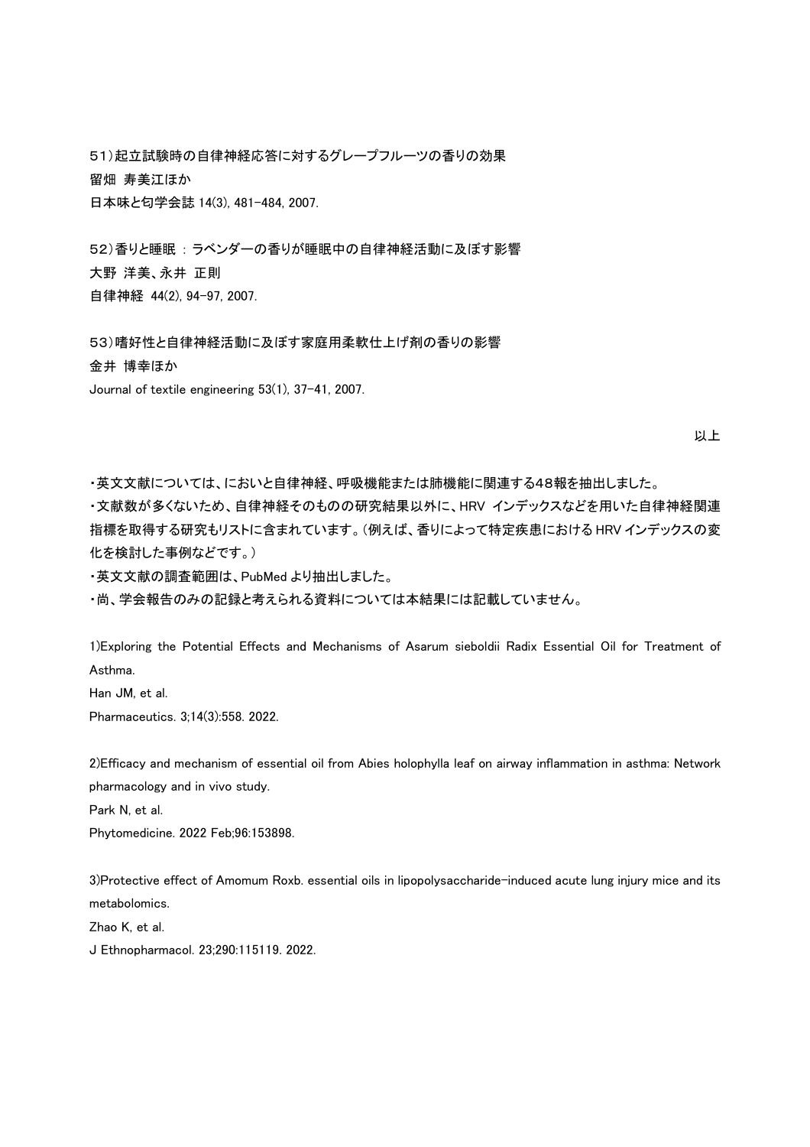51)起立試験時の自律神経応答に対するグレープフルーツの香りの効果 留畑 寿美江ほか 日本味と匂学会誌 14(3), 481-484, 2007.

52)香りと睡眠:ラベンダーの香りが睡眠中の自律神経活動に及ぼす影響 大野 洋美、永井 正則 自律神経 44(2), 94-97, 2007.

53)嗜好性と自律神経活動に及ぼす家庭用柔軟仕上げ剤の香りの影響 金井 博幸ほか Journal of textile engineering 53(1), 37-41, 2007.

以上

・英文文献については、においと自律神経、呼吸機能または肺機能に関連する48報を抽出しました。

・文献数が多くないため、自律神経そのものの研究結果以外に、HRV インデックスなどを用いた自律神経関連 指標を取得する研究もリストに含まれています。(例えば、香りによって特定疾患における HRV インデックスの変 化を検討した事例などです。)

·英文文献の調査範囲は、PubMed より抽出しました。

・尚、学会報告のみの記録と考えられる資料については本結果には記載していません。

1)Exploring the Potential Effects and Mechanisms of Asarum sieboldii Radix Essential Oil for Treatment of Asthma.

Han JM, et al.

Pharmaceutics. 3;14(3):558. 2022.

2)Efficacy and mechanism of essential oil from Abies holophylla leaf on airway inflammation in asthma: Network pharmacology and in vivo study.

Park N, et al.

Phytomedicine. 2022 Feb;96:153898.

3)Protective effect of Amomum Roxb. essential oils in lipopolysaccharide-induced acute lung injury mice and its metabolomics.

Zhao K, et al.

J Ethnopharmacol. 23;290:115119. 2022.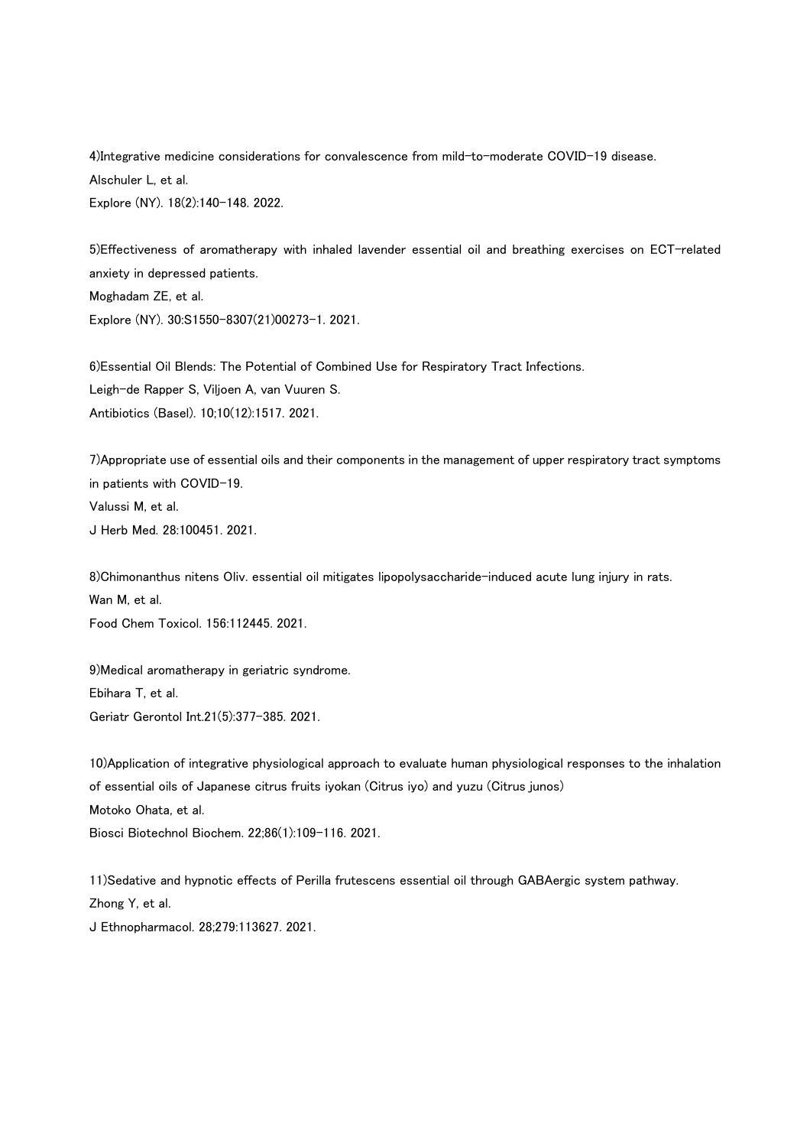4)Integrative medicine considerations for convalescence from mild-to-moderate COVID-19 disease. Alschuler L, et al. Explore (NY). 18(2):140-148. 2022.

5)Effectiveness of aromatherapy with inhaled lavender essential oil and breathing exercises on ECT-related anxiety in depressed patients. Moghadam ZE, et al. Explore (NY). 30:S1550-8307(21)00273-1. 2021.

6)Essential Oil Blends: The Potential of Combined Use for Respiratory Tract Infections. Leigh-de Rapper S, Viljoen A, van Vuuren S. Antibiotics (Basel). 10;10(12):1517. 2021.

7)Appropriate use of essential oils and their components in the management of upper respiratory tract symptoms in patients with COVID-19. Valussi M, et al. J Herb Med. 28:100451. 2021.

8)Chimonanthus nitens Oliv. essential oil mitigates lipopolysaccharide-induced acute lung injury in rats. Wan M, et al. Food Chem Toxicol. 156:112445. 2021.

9)Medical aromatherapy in geriatric syndrome. Ebihara T, et al. Geriatr Gerontol Int.21(5):377-385. 2021.

10)Application of integrative physiological approach to evaluate human physiological responses to the inhalation of essential oils of Japanese citrus fruits iyokan (Citrus iyo) and yuzu (Citrus junos) Motoko Ohata, et al. Biosci Biotechnol Biochem. 22;86(1):109-116. 2021.

11)Sedative and hypnotic effects of Perilla frutescens essential oil through GABAergic system pathway. Zhong Y, et al. J Ethnopharmacol. 28;279:113627. 2021.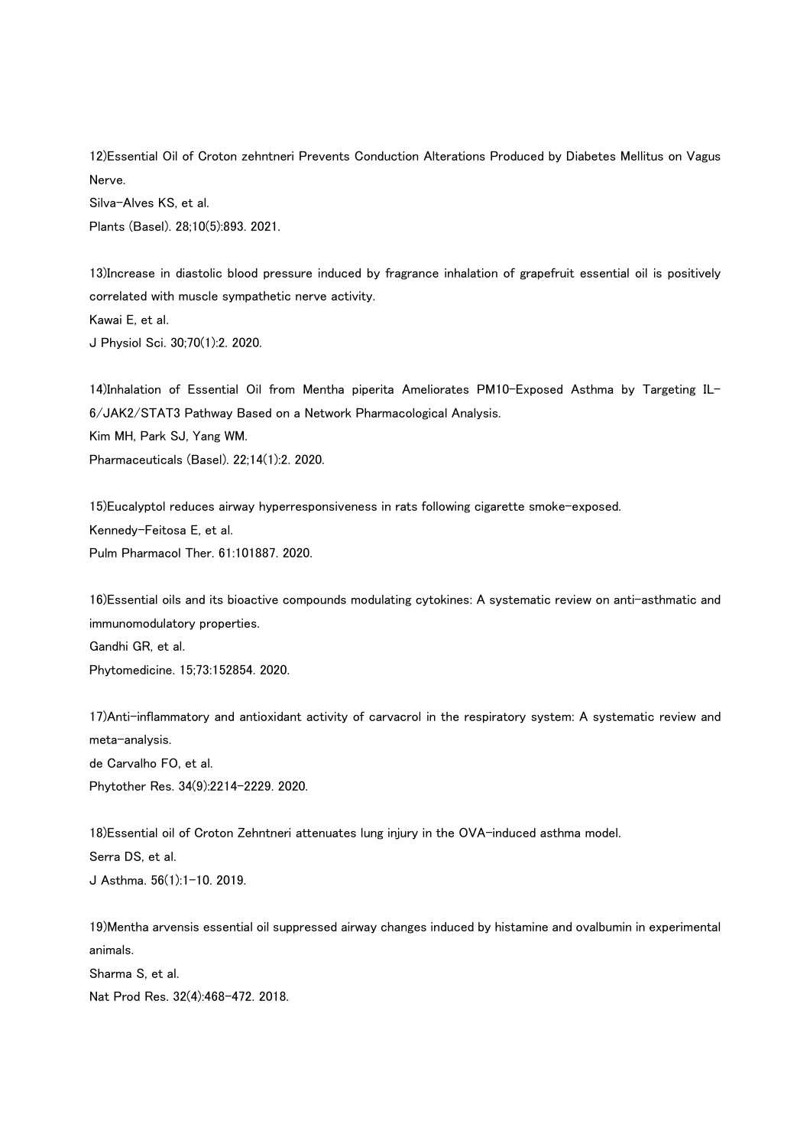12)Essential Oil of Croton zehntneri Prevents Conduction Alterations Produced by Diabetes Mellitus on Vagus Nerve. Silva-Alves KS, et al. Plants (Basel). 28;10(5):893. 2021.

13)Increase in diastolic blood pressure induced by fragrance inhalation of grapefruit essential oil is positively correlated with muscle sympathetic nerve activity. Kawai E, et al. J Physiol Sci. 30;70(1):2. 2020.

14)Inhalation of Essential Oil from Mentha piperita Ameliorates PM10-Exposed Asthma by Targeting IL-6/JAK2/STAT3 Pathway Based on a Network Pharmacological Analysis. Kim MH, Park SJ, Yang WM. Pharmaceuticals (Basel). 22;14(1):2. 2020.

15)Eucalyptol reduces airway hyperresponsiveness in rats following cigarette smoke-exposed. Kennedy-Feitosa E, et al. Pulm Pharmacol Ther. 61:101887. 2020.

16)Essential oils and its bioactive compounds modulating cytokines: A systematic review on anti-asthmatic and immunomodulatory properties. Gandhi GR, et al.

Phytomedicine. 15;73:152854. 2020.

17)Anti-inflammatory and antioxidant activity of carvacrol in the respiratory system: A systematic review and meta-analysis.

de Carvalho FO, et al. Phytother Res. 34(9):2214-2229. 2020.

18)Essential oil of Croton Zehntneri attenuates lung injury in the OVA-induced asthma model. Serra DS, et al. J Asthma. 56(1):1-10. 2019.

19)Mentha arvensis essential oil suppressed airway changes induced by histamine and ovalbumin in experimental animals. Sharma S, et al. Nat Prod Res. 32(4):468-472. 2018.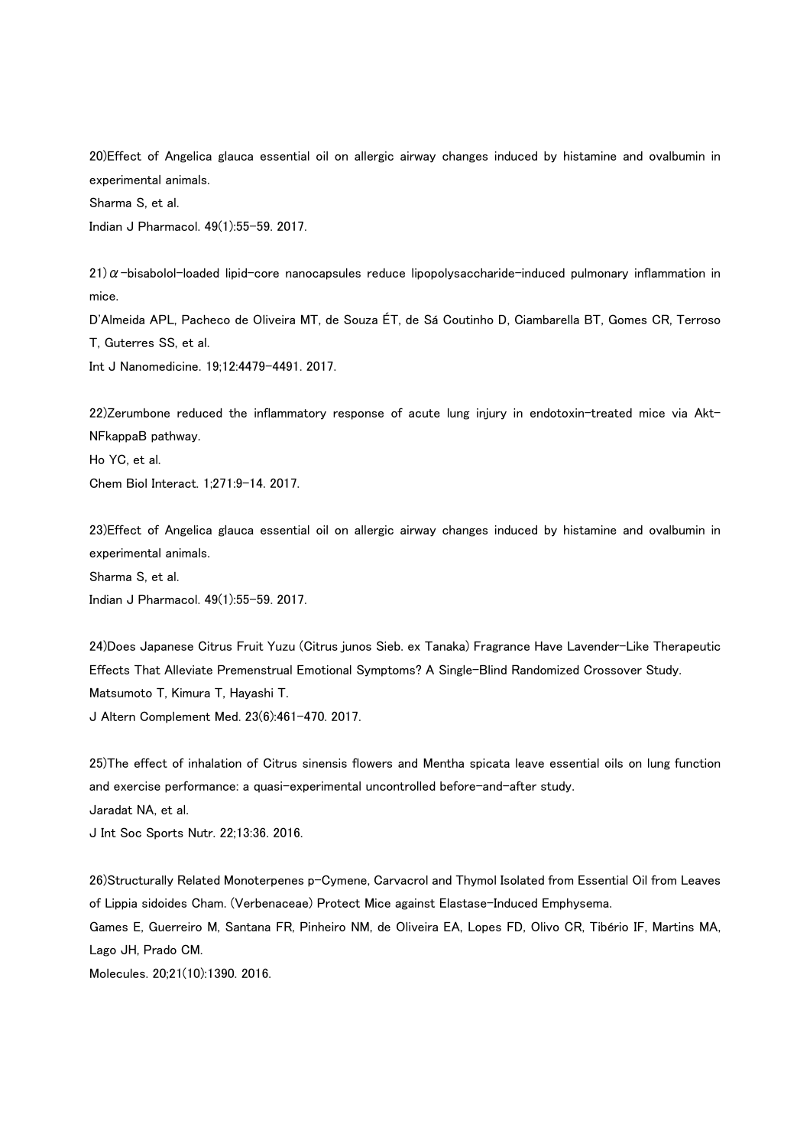20)Effect of Angelica glauca essential oil on allergic airway changes induced by histamine and ovalbumin in experimental animals. Sharma S, et al.

Indian J Pharmacol. 49(1):55-59. 2017.

 $21)\alpha$ -bisabolol-loaded lipid-core nanocapsules reduce lipopolysaccharide-induced pulmonary inflammation in mice.

D'Almeida APL, Pacheco de Oliveira MT, de Souza ÉT, de Sá Coutinho D, Ciambarella BT, Gomes CR, Terroso T, Guterres SS, et al.

Int J Nanomedicine. 19;12:4479-4491. 2017.

22)Zerumbone reduced the inflammatory response of acute lung injury in endotoxin-treated mice via Akt-NFkappaB pathway.

Ho YC, et al.

Chem Biol Interact. 1;271:9-14. 2017.

23)Effect of Angelica glauca essential oil on allergic airway changes induced by histamine and ovalbumin in experimental animals.

Sharma S, et al.

Indian J Pharmacol. 49(1):55-59. 2017.

24)Does Japanese Citrus Fruit Yuzu (Citrus junos Sieb. ex Tanaka) Fragrance Have Lavender-Like Therapeutic Effects That Alleviate Premenstrual Emotional Symptoms? A Single-Blind Randomized Crossover Study. Matsumoto T, Kimura T, Hayashi T. J Altern Complement Med. 23(6):461-470. 2017.

25)The effect of inhalation of Citrus sinensis flowers and Mentha spicata leave essential oils on lung function and exercise performance: a quasi-experimental uncontrolled before-and-after study. Jaradat NA, et al. J Int Soc Sports Nutr. 22;13:36. 2016.

26)Structurally Related Monoterpenes p-Cymene, Carvacrol and Thymol Isolated from Essential Oil from Leaves of Lippia sidoides Cham. (Verbenaceae) Protect Mice against Elastase-Induced Emphysema. Games E, Guerreiro M, Santana FR, Pinheiro NM, de Oliveira EA, Lopes FD, Olivo CR, Tibério IF, Martins MA,

Lago JH, Prado CM.

Molecules. 20;21(10):1390. 2016.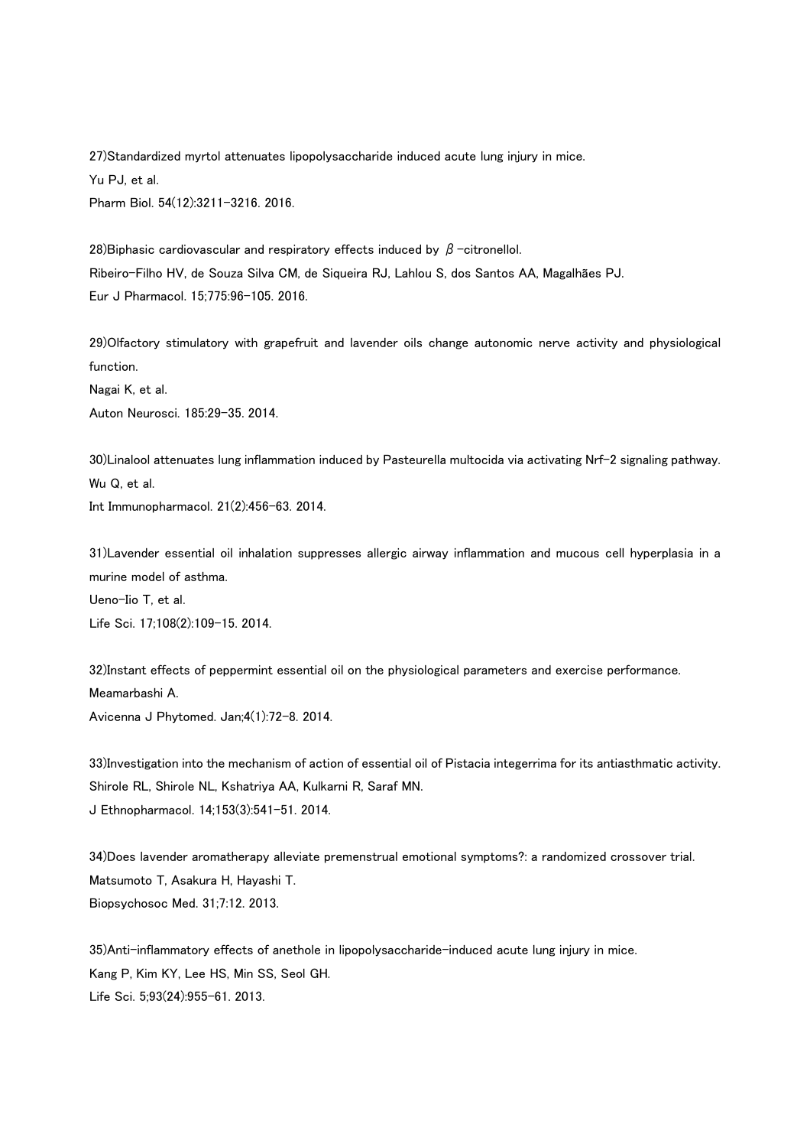27)Standardized myrtol attenuates lipopolysaccharide induced acute lung injury in mice. Yu PJ, et al. Pharm Biol. 54(12):3211-3216. 2016.

28) Biphasic cardiovascular and respiratory effects induced by  $\beta$  -citronellol. Ribeiro-Filho HV, de Souza Silva CM, de Siqueira RJ, Lahlou S, dos Santos AA, Magalhães PJ. Eur J Pharmacol. 15;775:96-105. 2016.

29)Olfactory stimulatory with grapefruit and lavender oils change autonomic nerve activity and physiological function.

Nagai K, et al. Auton Neurosci. 185:29-35. 2014.

30)Linalool attenuates lung inflammation induced by Pasteurella multocida via activating Nrf-2 signaling pathway. Wu Q, et al. Int Immunopharmacol. 21(2):456-63. 2014.

31)Lavender essential oil inhalation suppresses allergic airway inflammation and mucous cell hyperplasia in a murine model of asthma.

Ueno-Iio T, et al. Life Sci. 17;108(2):109-15. 2014.

32)Instant effects of peppermint essential oil on the physiological parameters and exercise performance. Meamarbashi A. Avicenna J Phytomed. Jan;4(1):72-8. 2014.

33)Investigation into the mechanism of action of essential oil of Pistacia integerrima for its antiasthmatic activity. Shirole RL, Shirole NL, Kshatriya AA, Kulkarni R, Saraf MN. J Ethnopharmacol. 14;153(3):541-51. 2014.

34)Does lavender aromatherapy alleviate premenstrual emotional symptoms?: a randomized crossover trial. Matsumoto T, Asakura H, Hayashi T. Biopsychosoc Med. 31;7:12. 2013.

35)Anti-inflammatory effects of anethole in lipopolysaccharide-induced acute lung injury in mice. Kang P, Kim KY, Lee HS, Min SS, Seol GH. Life Sci. 5;93(24):955-61. 2013.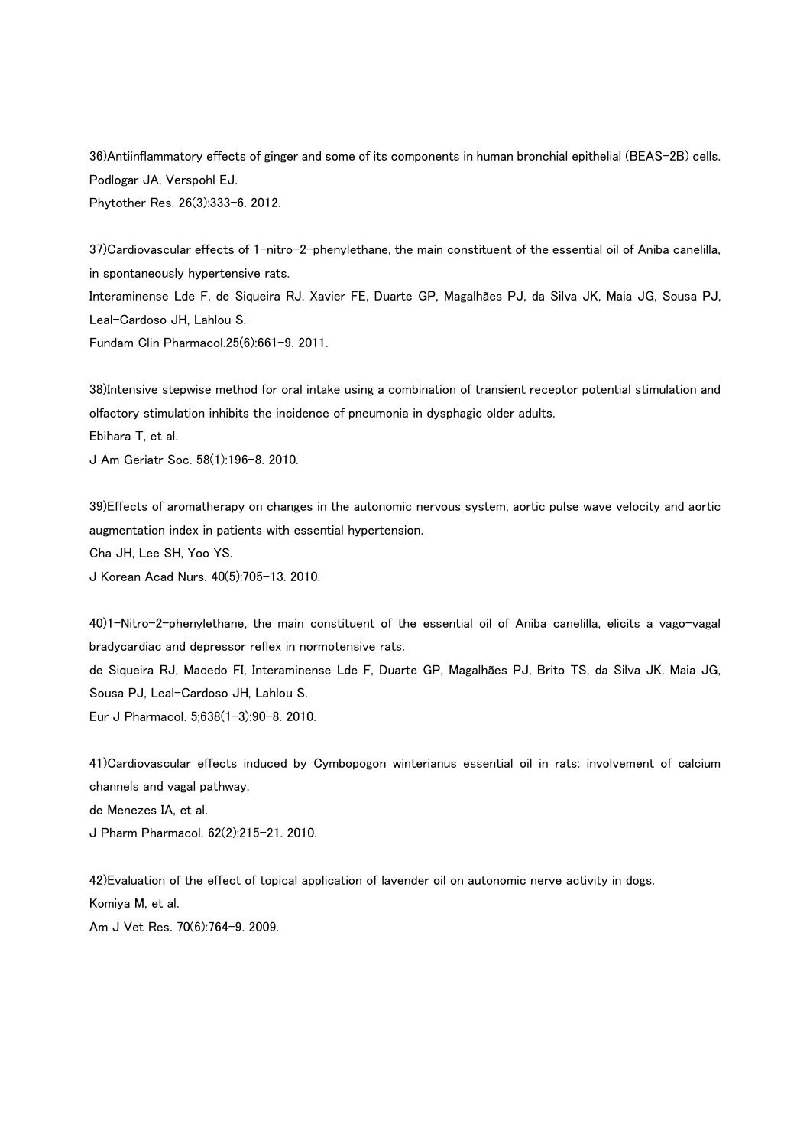36)Antiinflammatory effects of ginger and some of its components in human bronchial epithelial (BEAS-2B) cells. Podlogar JA, Verspohl EJ. Phytother Res. 26(3):333-6. 2012.

37)Cardiovascular effects of 1-nitro-2-phenylethane, the main constituent of the essential oil of Aniba canelilla, in spontaneously hypertensive rats.

Interaminense Lde F, de Siqueira RJ, Xavier FE, Duarte GP, Magalhães PJ, da Silva JK, Maia JG, Sousa PJ, Leal-Cardoso JH, Lahlou S.

Fundam Clin Pharmacol.25(6):661-9. 2011.

38)Intensive stepwise method for oral intake using a combination of transient receptor potential stimulation and olfactory stimulation inhibits the incidence of pneumonia in dysphagic older adults. Ebihara T, et al. J Am Geriatr Soc. 58(1):196-8. 2010.

39)Effects of aromatherapy on changes in the autonomic nervous system, aortic pulse wave velocity and aortic augmentation index in patients with essential hypertension. Cha JH, Lee SH, Yoo YS. J Korean Acad Nurs. 40(5):705-13. 2010.

40)1-Nitro-2-phenylethane, the main constituent of the essential oil of Aniba canelilla, elicits a vago-vagal bradycardiac and depressor reflex in normotensive rats. de Siqueira RJ, Macedo FI, Interaminense Lde F, Duarte GP, Magalhães PJ, Brito TS, da Silva JK, Maia JG, Sousa PJ, Leal-Cardoso JH, Lahlou S. Eur J Pharmacol. 5;638(1-3):90-8. 2010.

41)Cardiovascular effects induced by Cymbopogon winterianus essential oil in rats: involvement of calcium channels and vagal pathway.

de Menezes IA, et al.

J Pharm Pharmacol. 62(2):215-21. 2010.

42)Evaluation of the effect of topical application of lavender oil on autonomic nerve activity in dogs. Komiya M, et al.

Am J Vet Res. 70(6):764-9. 2009.